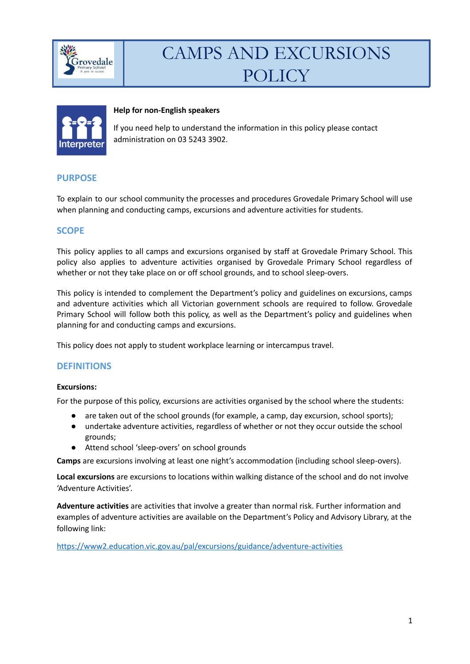



#### **Help for non-English speakers**

If you need help to understand the information in this policy please contact administration on 03 5243 3902.

### **PURPOSE**

To explain to our school community the processes and procedures Grovedale Primary School will use when planning and conducting camps, excursions and adventure activities for students.

### **SCOPE**

This policy applies to all camps and excursions organised by staff at Grovedale Primary School. This policy also applies to adventure activities organised by Grovedale Primary School regardless of whether or not they take place on or off school grounds, and to school sleep-overs.

This policy is intended to complement the Department's policy and guidelines on excursions, camps and adventure activities which all Victorian government schools are required to follow. Grovedale Primary School will follow both this policy, as well as the Department's policy and guidelines when planning for and conducting camps and excursions.

This policy does not apply to student workplace learning or intercampus travel.

#### **DEFINITIONS**

#### **Excursions:**

For the purpose of this policy, excursions are activities organised by the school where the students:

- are taken out of the school grounds (for example, a camp, day excursion, school sports);
- undertake adventure activities, regardless of whether or not they occur outside the school grounds;
- Attend school 'sleep-overs' on school grounds

**Camps** are excursions involving at least one night's accommodation (including school sleep-overs).

**Local excursions** are excursions to locations within walking distance of the school and do not involve 'Adventure Activities'.

**Adventure activities** are activities that involve a greater than normal risk. Further information and examples of adventure activities are available on the Department's Policy and Advisory Library, at the following link:

<https://www2.education.vic.gov.au/pal/excursions/guidance/adventure-activities>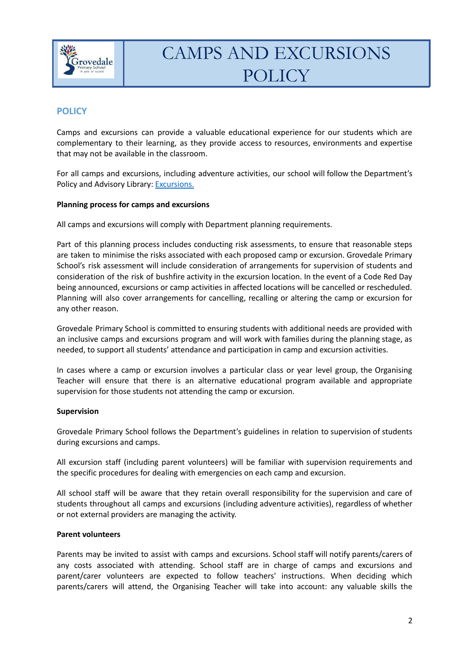

# **POLICY**

Camps and excursions can provide a valuable educational experience for our students which are complementary to their learning, as they provide access to resources, environments and expertise that may not be available in the classroom.

For all camps and excursions, including adventure activities, our school will follow the Department's Policy and Advisory Library: **[Excursions](https://www2.education.vic.gov.au/pal/excursions/policy).** 

### **Planning process for camps and excursions**

All camps and excursions will comply with Department planning requirements.

Part of this planning process includes conducting risk assessments, to ensure that reasonable steps are taken to minimise the risks associated with each proposed camp or excursion. Grovedale Primary School's risk assessment will include consideration of arrangements for supervision of students and consideration of the risk of bushfire activity in the excursion location. In the event of a Code Red Day being announced, excursions or camp activities in affected locations will be cancelled or rescheduled. Planning will also cover arrangements for cancelling, recalling or altering the camp or excursion for any other reason.

Grovedale Primary School is committed to ensuring students with additional needs are provided with an inclusive camps and excursions program and will work with families during the planning stage, as needed, to support all students' attendance and participation in camp and excursion activities.

In cases where a camp or excursion involves a particular class or year level group, the Organising Teacher will ensure that there is an alternative educational program available and appropriate supervision for those students not attending the camp or excursion.

#### **Supervision**

Grovedale Primary School follows the Department's guidelines in relation to supervision of students during excursions and camps.

All excursion staff (including parent volunteers) will be familiar with supervision requirements and the specific procedures for dealing with emergencies on each camp and excursion.

All school staff will be aware that they retain overall responsibility for the supervision and care of students throughout all camps and excursions (including adventure activities), regardless of whether or not external providers are managing the activity.

#### **Parent volunteers**

Parents may be invited to assist with camps and excursions. School staff will notify parents/carers of any costs associated with attending. School staff are in charge of camps and excursions and parent/carer volunteers are expected to follow teachers' instructions. When deciding which parents/carers will attend, the Organising Teacher will take into account: any valuable skills the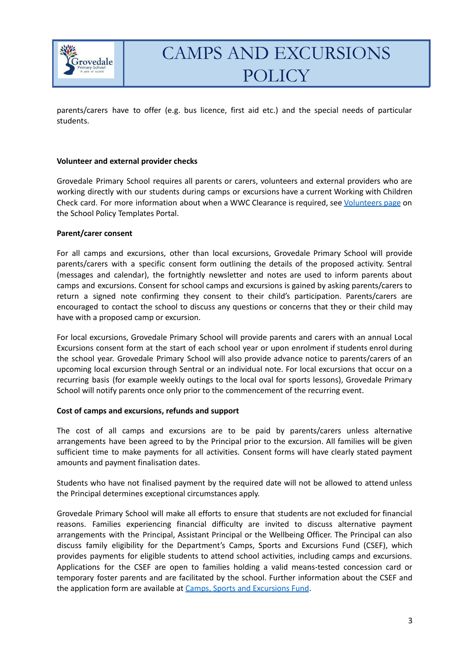

parents/carers have to offer (e.g. bus licence, first aid etc.) and the special needs of particular students.

#### **Volunteer and external provider checks**

Grovedale Primary School requires all parents or carers, volunteers and external providers who are working directly with our students during camps or excursions have a current Working with Children Check card. For more information about when a WWC Clearance is required, see [Volunteers](https://edugate.eduweb.vic.gov.au/edrms/keyprocess/cp/SitePages/SchoolPoliciesDetail.aspx?CId=88) page on the School Policy Templates Portal.

#### **Parent/carer consent**

For all camps and excursions, other than local excursions, Grovedale Primary School will provide parents/carers with a specific consent form outlining the details of the proposed activity. Sentral (messages and calendar), the fortnightly newsletter and notes are used to inform parents about camps and excursions. Consent for school camps and excursions is gained by asking parents/carers to return a signed note confirming they consent to their child's participation. Parents/carers are encouraged to contact the school to discuss any questions or concerns that they or their child may have with a proposed camp or excursion.

For local excursions, Grovedale Primary School will provide parents and carers with an annual Local Excursions consent form at the start of each school year or upon enrolment if students enrol during the school year. Grovedale Primary School will also provide advance notice to parents/carers of an upcoming local excursion through Sentral or an individual note. For local excursions that occur on a recurring basis (for example weekly outings to the local oval for sports lessons), Grovedale Primary School will notify parents once only prior to the commencement of the recurring event.

#### **Cost of camps and excursions, refunds and support**

The cost of all camps and excursions are to be paid by parents/carers unless alternative arrangements have been agreed to by the Principal prior to the excursion. All families will be given sufficient time to make payments for all activities. Consent forms will have clearly stated payment amounts and payment finalisation dates.

Students who have not finalised payment by the required date will not be allowed to attend unless the Principal determines exceptional circumstances apply.

Grovedale Primary School will make all efforts to ensure that students are not excluded for financial reasons. Families experiencing financial difficulty are invited to discuss alternative payment arrangements with the Principal, Assistant Principal or the Wellbeing Officer. The Principal can also discuss family eligibility for the Department's Camps, Sports and Excursions Fund (CSEF), which provides payments for eligible students to attend school activities, including camps and excursions. Applications for the CSEF are open to families holding a valid means-tested concession card or temporary foster parents and are facilitated by the school. Further information about the CSEF and the application form are available at Camps, Sports and [Excursions](https://www2.education.vic.gov.au/pal/camps-sports-and-excursions-fund/policy) Fund.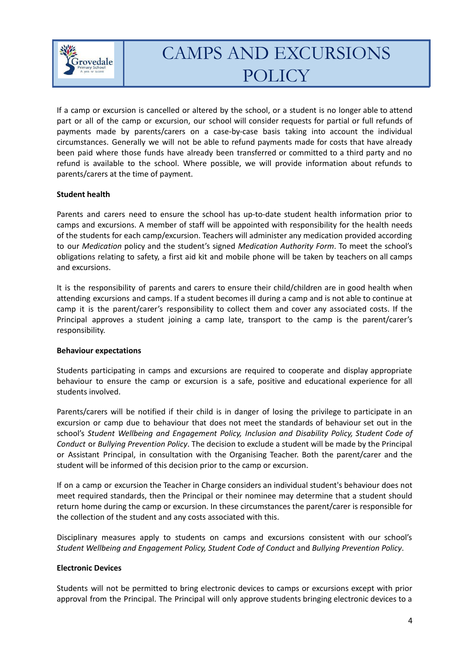

If a camp or excursion is cancelled or altered by the school, or a student is no longer able to attend part or all of the camp or excursion, our school will consider requests for partial or full refunds of payments made by parents/carers on a case-by-case basis taking into account the individual circumstances. Generally we will not be able to refund payments made for costs that have already been paid where those funds have already been transferred or committed to a third party and no refund is available to the school. Where possible, we will provide information about refunds to parents/carers at the time of payment.

### **Student health**

Parents and carers need to ensure the school has up-to-date student health information prior to camps and excursions. A member of staff will be appointed with responsibility for the health needs of the students for each camp/excursion. Teachers will administer any medication provided according to our *Medication* policy and the student's signed *Medication Authority Form*. To meet the school's obligations relating to safety, a first aid kit and mobile phone will be taken by teachers on all camps and excursions.

It is the responsibility of parents and carers to ensure their child/children are in good health when attending excursions and camps. If a student becomes ill during a camp and is not able to continue at camp it is the parent/carer's responsibility to collect them and cover any associated costs. If the Principal approves a student joining a camp late, transport to the camp is the parent/carer's responsibility.

#### **Behaviour expectations**

Students participating in camps and excursions are required to cooperate and display appropriate behaviour to ensure the camp or excursion is a safe, positive and educational experience for all students involved.

Parents/carers will be notified if their child is in danger of losing the privilege to participate in an excursion or camp due to behaviour that does not meet the standards of behaviour set out in the school's *Student Wellbeing and Engagement Policy, Inclusion and Disability Policy, Student Code of Conduct* or *Bullying Prevention Policy*. The decision to exclude a student will be made by the Principal or Assistant Principal, in consultation with the Organising Teacher. Both the parent/carer and the student will be informed of this decision prior to the camp or excursion.

If on a camp or excursion the Teacher in Charge considers an individual student's behaviour does not meet required standards, then the Principal or their nominee may determine that a student should return home during the camp or excursion. In these circumstances the parent/carer is responsible for the collection of the student and any costs associated with this.

Disciplinary measures apply to students on camps and excursions consistent with our school's *Student Wellbeing and Engagement Policy, Student Code of Conduct* and *Bullying Prevention Policy*.

#### **Electronic Devices**

Students will not be permitted to bring electronic devices to camps or excursions except with prior approval from the Principal. The Principal will only approve students bringing electronic devices to a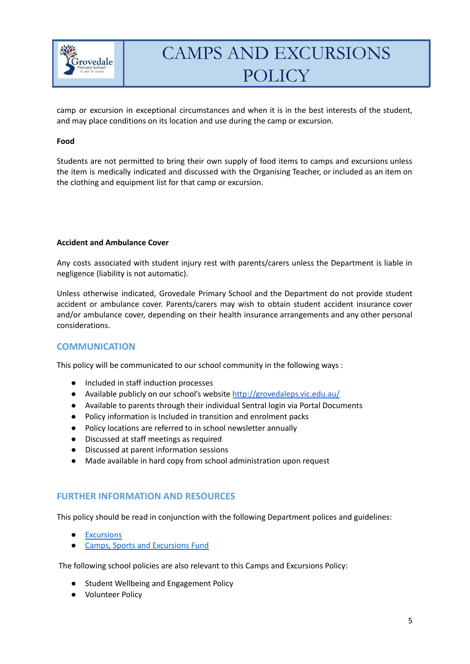

camp or excursion in exceptional circumstances and when it is in the best interests of the student, and may place conditions on its location and use during the camp or excursion.

#### **Food**

Students are not permitted to bring their own supply of food items to camps and excursions unless the item is medically indicated and discussed with the Organising Teacher, or included as an item on the clothing and equipment list for that camp or excursion.

#### **Accident and Ambulance Cover**

Any costs associated with student injury rest with parents/carers unless the Department is liable in negligence (liability is not automatic).

Unless otherwise indicated, Grovedale Primary School and the Department do not provide student accident or ambulance cover. Parents/carers may wish to obtain student accident insurance cover and/or ambulance cover, depending on their health insurance arrangements and any other personal considerations.

### **COMMUNICATION**

This policy will be communicated to our school community in the following ways :

- Included in staff induction processes
- Available publicly on our school's website <http://grovedaleps.vic.edu.au/>
- Available to parents through their individual Sentral login via Portal Documents
- Policy information is Included in transition and enrolment packs
- Policy locations are referred to in school newsletter annually
- Discussed at staff meetings as required
- Discussed at parent information sessions
- Made available in hard copy from school administration upon request

### **FURTHER INFORMATION AND RESOURCES**

This policy should be read in conjunction with the following Department polices and guidelines:

- [Excursions](https://www2.education.vic.gov.au/pal/excursions/policy)
- Camps, Sports and [Excursions](https://www2.education.vic.gov.au/pal/camps-sports-and-excursions-fund/policy) Fund

The following school policies are also relevant to this Camps and Excursions Policy:

- Student Wellbeing and Engagement Policy
- Volunteer Policy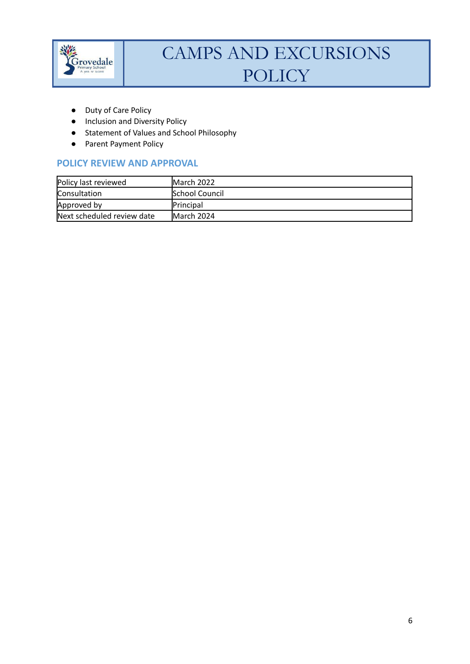

- Duty of Care Policy
- Inclusion and Diversity Policy
- Statement of Values and School Philosophy
- Parent Payment Policy

# **POLICY REVIEW AND APPROVAL**

| Policy last reviewed       | March 2022            |
|----------------------------|-----------------------|
| Consultation               | <b>School Council</b> |
| Approved by                | <b>Principal</b>      |
| Next scheduled review date | March 2024            |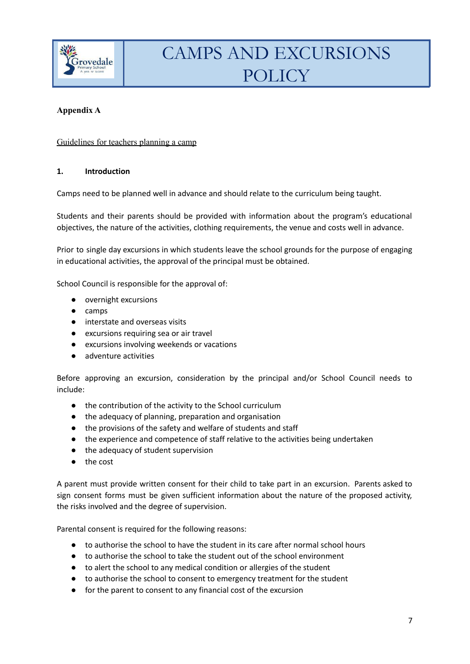

# **Appendix A**

# Guidelines for teachers planning a camp

### **1. Introduction**

Camps need to be planned well in advance and should relate to the curriculum being taught.

Students and their parents should be provided with information about the program's educational objectives, the nature of the activities, clothing requirements, the venue and costs well in advance.

Prior to single day excursions in which students leave the school grounds for the purpose of engaging in educational activities, the approval of the principal must be obtained.

School Council is responsible for the approval of:

- overnight excursions
- camps
- interstate and overseas visits
- excursions requiring sea or air travel
- excursions involving weekends or vacations
- adventure activities

Before approving an excursion, consideration by the principal and/or School Council needs to include:

- the contribution of the activity to the School curriculum
- the adequacy of planning, preparation and organisation
- the provisions of the safety and welfare of students and staff
- the experience and competence of staff relative to the activities being undertaken
- the adequacy of student supervision
- the cost

A parent must provide written consent for their child to take part in an excursion. Parents asked to sign consent forms must be given sufficient information about the nature of the proposed activity, the risks involved and the degree of supervision.

Parental consent is required for the following reasons:

- to authorise the school to have the student in its care after normal school hours
- to authorise the school to take the student out of the school environment
- to alert the school to any medical condition or allergies of the student
- to authorise the school to consent to emergency treatment for the student
- for the parent to consent to any financial cost of the excursion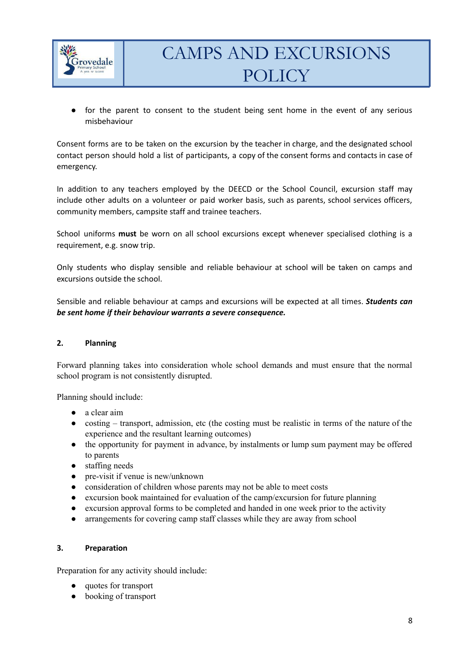

● for the parent to consent to the student being sent home in the event of any serious misbehaviour

Consent forms are to be taken on the excursion by the teacher in charge, and the designated school contact person should hold a list of participants, a copy of the consent forms and contacts in case of emergency.

In addition to any teachers employed by the DEECD or the School Council, excursion staff may include other adults on a volunteer or paid worker basis, such as parents, school services officers, community members, campsite staff and trainee teachers.

School uniforms **must** be worn on all school excursions except whenever specialised clothing is a requirement, e.g. snow trip.

Only students who display sensible and reliable behaviour at school will be taken on camps and excursions outside the school.

Sensible and reliable behaviour at camps and excursions will be expected at all times. *Students can be sent home if their behaviour warrants a severe consequence.*

### **2. Planning**

Forward planning takes into consideration whole school demands and must ensure that the normal school program is not consistently disrupted.

Planning should include:

- a clear aim
- costing transport, admission, etc (the costing must be realistic in terms of the nature of the experience and the resultant learning outcomes)
- the opportunity for payment in advance, by instalments or lump sum payment may be offered to parents
- staffing needs
- pre-visit if venue is new/unknown
- consideration of children whose parents may not be able to meet costs
- excursion book maintained for evaluation of the camp/excursion for future planning
- excursion approval forms to be completed and handed in one week prior to the activity
- arrangements for covering camp staff classes while they are away from school

#### **3. Preparation**

Preparation for any activity should include:

- quotes for transport
- booking of transport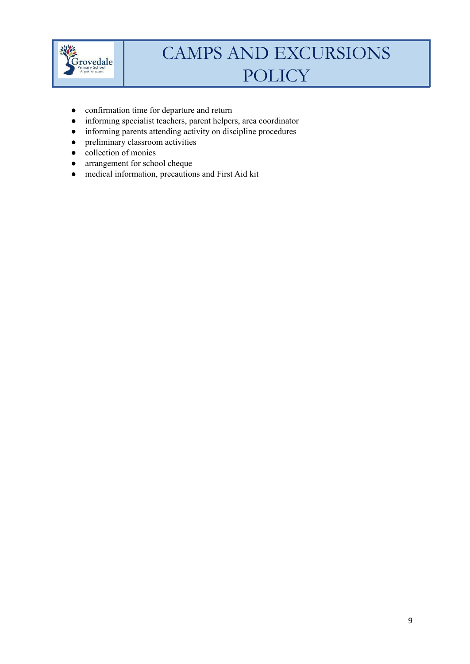

- confirmation time for departure and return
- informing specialist teachers, parent helpers, area coordinator
- informing parents attending activity on discipline procedures
- preliminary classroom activities
- collection of monies
- arrangement for school cheque
- medical information, precautions and First Aid kit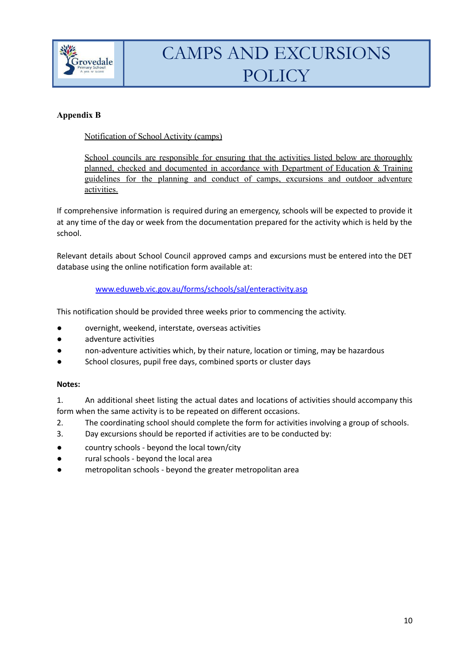

# **Appendix B**

# Notification of School Activity (camps)

School councils are responsible for ensuring that the activities listed below are thoroughly planned, checked and documented in accordance with Department of Education & Training guidelines for the planning and conduct of camps, excursions and outdoor adventure activities.

If comprehensive information is required during an emergency, schools will be expected to provide it at any time of the day or week from the documentation prepared for the activity which is held by the school.

Relevant details about School Council approved camps and excursions must be entered into the DET database using the online notification form available at:

### [www.eduweb.vic.gov.au/forms/schools/sal/enteractivity.asp](http://www.eduweb.vic.gov.au/forms/schools/sal/enteractivity.asp)

This notification should be provided three weeks prior to commencing the activity.

- overnight, weekend, interstate, overseas activities
- adventure activities
- non-adventure activities which, by their nature, location or timing, may be hazardous
- School closures, pupil free days, combined sports or cluster days

### **Notes:**

- 1. An additional sheet listing the actual dates and locations of activities should accompany this form when the same activity is to be repeated on different occasions.
- 2. The coordinating school should complete the form for activities involving a group of schools.
- 3. Day excursions should be reported if activities are to be conducted by:
- country schools beyond the local town/city
- rural schools beyond the local area
- metropolitan schools beyond the greater metropolitan area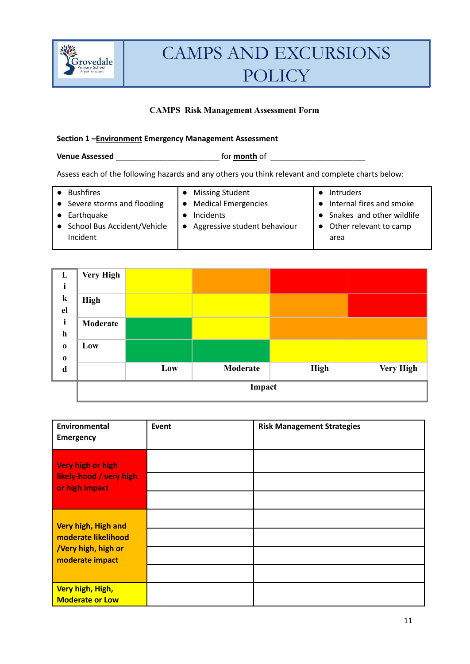

# **CAMPS Risk Management Assessment Form**

### **Section 1 –Environment Emergency Management Assessment**

# **Venue Assessed Venue Assessed** *CONDERNET FOR <b>month* of *CONDERNET FOR <b>MONE*

Assess each of the following hazards and any others you think relevant and complete charts below:

| <b>Bushfires</b>              | • Missing Student              | Intruders                   |
|-------------------------------|--------------------------------|-----------------------------|
| • Severe storms and flooding  | • Medical Emergencies          | • Internal fires and smoke  |
| • Earthquake                  | Incidents                      | • Snakes and other wildlife |
| • School Bus Accident/Vehicle | • Aggressive student behaviour | • Other relevant to camp    |
| Incident                      |                                | area                        |
|                               |                                |                             |



| Environmental<br><b>Emergency</b>                                                   | Event | <b>Risk Management Strategies</b> |
|-------------------------------------------------------------------------------------|-------|-----------------------------------|
| Very high or high<br>likely-hood / very high<br>or high impact                      |       |                                   |
| Very high, High and<br>moderate likelihood<br>Very high, high or<br>moderate impact |       |                                   |
| Very high, High,<br>Moderate or Low                                                 |       |                                   |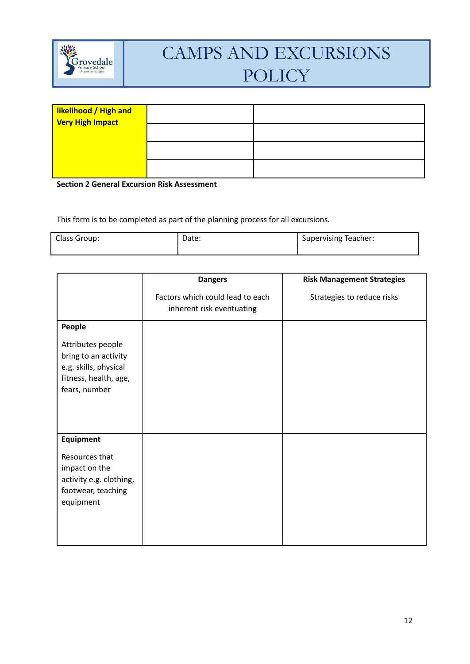

| likelihood / High and<br><b>Very High Impact</b> |  |
|--------------------------------------------------|--|
|                                                  |  |
|                                                  |  |
|                                                  |  |

**Section 2 General Excursion Risk Assessment**

This form is to be completed as part of the planning process for all excursions.

| Class Group: | Date: | <b>Supervising Teacher:</b> |
|--------------|-------|-----------------------------|
|--------------|-------|-----------------------------|

|                                                                                                              | <b>Dangers</b>                                                | <b>Risk Management Strategies</b> |
|--------------------------------------------------------------------------------------------------------------|---------------------------------------------------------------|-----------------------------------|
|                                                                                                              | Factors which could lead to each<br>inherent risk eventuating | Strategies to reduce risks        |
| People                                                                                                       |                                                               |                                   |
| Attributes people<br>bring to an activity<br>e.g. skills, physical<br>fitness, health, age,<br>fears, number |                                                               |                                   |
| <b>Equipment</b>                                                                                             |                                                               |                                   |
| Resources that<br>impact on the<br>activity e.g. clothing,<br>footwear, teaching<br>equipment                |                                                               |                                   |